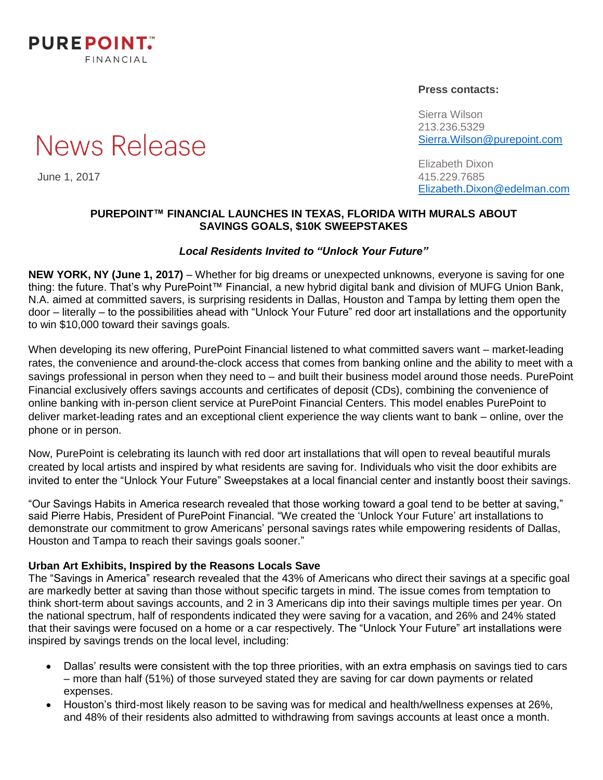

#### **Press contacts:**

Sierra Wilson 213.236.5329 [Sierra.Wilson@purepoint.com](mailto:Sierra.Wilson@purepoint.com)

Elizabeth Dixon June 1, 2017 415.229.7685 [Elizabeth.Dixon@edelman.com](mailto:Elizabeth.Dixon@edelman.com)

#### **PUREPOINT™ FINANCIAL LAUNCHES IN TEXAS, FLORIDA WITH MURALS ABOUT SAVINGS GOALS, \$10K SWEEPSTAKES**

#### *Local Residents Invited to "Unlock Your Future"*

**NEW YORK, NY (June 1, 2017)** – Whether for big dreams or unexpected unknowns, everyone is saving for one thing: the future. That's why PurePoint™ Financial, a new hybrid digital bank and division of MUFG Union Bank, N.A. aimed at committed savers, is surprising residents in Dallas, Houston and Tampa by letting them open the door – literally – to the possibilities ahead with "Unlock Your Future" red door art installations and the opportunity to win \$10,000 toward their savings goals.

When developing its new offering, PurePoint Financial listened to what committed savers want – market-leading rates, the convenience and around-the-clock access that comes from banking online and the ability to meet with a savings professional in person when they need to – and built their business model around those needs. PurePoint Financial exclusively offers savings accounts and certificates of deposit (CDs), combining the convenience of online banking with in-person client service at PurePoint Financial Centers. This model enables PurePoint to deliver market-leading rates and an exceptional client experience the way clients want to bank – online, over the phone or in person.

Now, PurePoint is celebrating its launch with red door art installations that will open to reveal beautiful murals created by local artists and inspired by what residents are saving for. Individuals who visit the door exhibits are invited to enter the "Unlock Your Future" Sweepstakes at a local financial center and instantly boost their savings.

"Our Savings Habits in America research revealed that those working toward a goal tend to be better at saving," said Pierre Habis, President of PurePoint Financial. "We created the 'Unlock Your Future' art installations to demonstrate our commitment to grow Americans' personal savings rates while empowering residents of Dallas, Houston and Tampa to reach their savings goals sooner."

#### **Urban Art Exhibits, Inspired by the Reasons Locals Save**

The "Savings in America" research revealed that the 43% of Americans who direct their savings at a specific goal are markedly better at saving than those without specific targets in mind. The issue comes from temptation to think short-term about savings accounts, and 2 in 3 Americans dip into their savings multiple times per year. On the national spectrum, half of respondents indicated they were saving for a vacation, and 26% and 24% stated that their savings were focused on a home or a car respectively. The "Unlock Your Future" art installations were inspired by savings trends on the local level, including:

- Dallas' results were consistent with the top three priorities, with an extra emphasis on savings tied to cars – more than half (51%) of those surveyed stated they are saving for car down payments or related expenses.
- Houston's third-most likely reason to be saving was for medical and health/wellness expenses at 26%, and 48% of their residents also admitted to withdrawing from savings accounts at least once a month.

**News Release**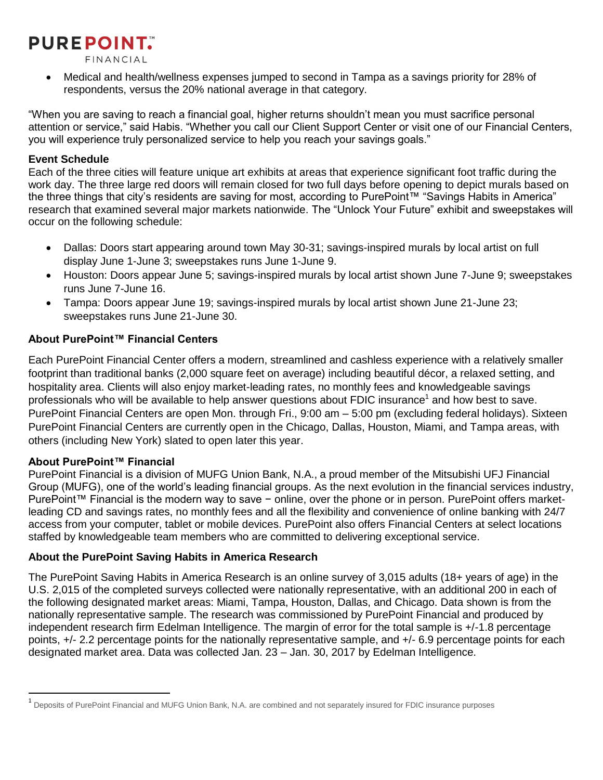# **PUREPOINT.**

FINANCIAL

 Medical and health/wellness expenses jumped to second in Tampa as a savings priority for 28% of respondents, versus the 20% national average in that category.

"When you are saving to reach a financial goal, higher returns shouldn't mean you must sacrifice personal attention or service," said Habis. "Whether you call our Client Support Center or visit one of our Financial Centers, you will experience truly personalized service to help you reach your savings goals."

## **Event Schedule**

Each of the three cities will feature unique art exhibits at areas that experience significant foot traffic during the work day. The three large red doors will remain closed for two full days before opening to depict murals based on the three things that city's residents are saving for most, according to PurePoint™ "Savings Habits in America" research that examined several major markets nationwide. The "Unlock Your Future" exhibit and sweepstakes will occur on the following schedule:

- Dallas: Doors start appearing around town May 30-31; savings-inspired murals by local artist on full display June 1-June 3; sweepstakes runs June 1-June 9.
- Houston: Doors appear June 5; savings-inspired murals by local artist shown June 7-June 9; sweepstakes runs June 7-June 16.
- Tampa: Doors appear June 19; savings-inspired murals by local artist shown June 21-June 23; sweepstakes runs June 21-June 30.

## **About PurePoint™ Financial Centers**

Each PurePoint Financial Center offers a modern, streamlined and cashless experience with a relatively smaller footprint than traditional banks (2,000 square feet on average) including beautiful décor, a relaxed setting, and hospitality area. Clients will also enjoy market-leading rates, no monthly fees and knowledgeable savings professionals who will be available to help answer questions about FDIC insurance<sup>1</sup> and how best to save. PurePoint Financial Centers are open Mon. through Fri., 9:00 am – 5:00 pm (excluding federal holidays). Sixteen PurePoint Financial Centers are currently open in the Chicago, Dallas, Houston, Miami, and Tampa areas, with others (including New York) slated to open later this year.

## **About PurePoint™ Financial**

 $\overline{a}$ 

PurePoint Financial is a division of MUFG Union Bank, N.A., a proud member of the Mitsubishi UFJ Financial Group (MUFG), one of the world's leading financial groups. As the next evolution in the financial services industry, PurePoint™ Financial is the modern way to save − online, over the phone or in person. PurePoint offers marketleading CD and savings rates, no monthly fees and all the flexibility and convenience of online banking with 24/7 access from your computer, tablet or mobile devices. PurePoint also offers Financial Centers at select locations staffed by knowledgeable team members who are committed to delivering exceptional service.

## **About the PurePoint Saving Habits in America Research**

The PurePoint Saving Habits in America Research is an online survey of 3,015 adults (18+ years of age) in the U.S. 2,015 of the completed surveys collected were nationally representative, with an additional 200 in each of the following designated market areas: Miami, Tampa, Houston, Dallas, and Chicago. Data shown is from the nationally representative sample. The research was commissioned by PurePoint Financial and produced by independent research firm Edelman Intelligence. The margin of error for the total sample is +/-1.8 percentage points, +/- 2.2 percentage points for the nationally representative sample, and +/- 6.9 percentage points for each designated market area. Data was collected Jan. 23 – Jan. 30, 2017 by Edelman Intelligence.

<sup>&</sup>lt;sup>1</sup> Deposits of PurePoint Financial and MUFG Union Bank, N.A. are combined and not separately insured for FDIC insurance purposes